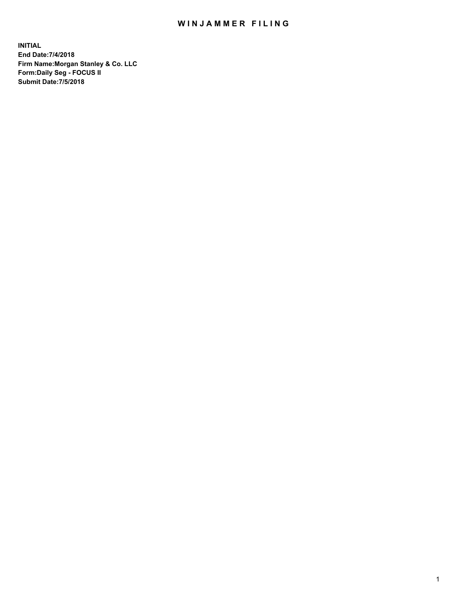## WIN JAMMER FILING

**INITIAL End Date:7/4/2018 Firm Name:Morgan Stanley & Co. LLC Form:Daily Seg - FOCUS II Submit Date:7/5/2018**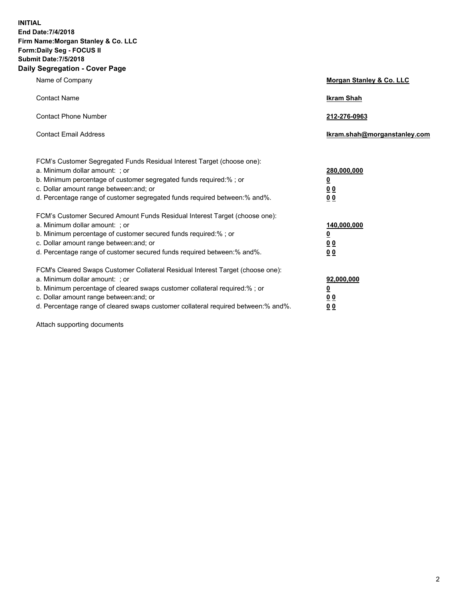**INITIAL End Date:7/4/2018 Firm Name:Morgan Stanley & Co. LLC Form:Daily Seg - FOCUS II Submit Date:7/5/2018 Daily Segregation - Cover Page**

| Name of Company                                                                                                        | Morgan Stanley & Co. LLC     |
|------------------------------------------------------------------------------------------------------------------------|------------------------------|
| <b>Contact Name</b>                                                                                                    | <b>Ikram Shah</b>            |
| <b>Contact Phone Number</b>                                                                                            | 212-276-0963                 |
| <b>Contact Email Address</b>                                                                                           | Ikram.shah@morganstanley.com |
| FCM's Customer Segregated Funds Residual Interest Target (choose one):                                                 |                              |
| a. Minimum dollar amount: ; or                                                                                         | 280,000,000                  |
| b. Minimum percentage of customer segregated funds required:% ; or                                                     | <u>0</u>                     |
| c. Dollar amount range between: and; or<br>d. Percentage range of customer segregated funds required between: % and %. | <u>0 0</u><br>0 Q            |
| FCM's Customer Secured Amount Funds Residual Interest Target (choose one):                                             |                              |
| a. Minimum dollar amount: ; or                                                                                         | 140,000,000                  |
| b. Minimum percentage of customer secured funds required:%; or                                                         | <u>0</u>                     |
| c. Dollar amount range between: and; or                                                                                | 0 <sub>0</sub>               |
| d. Percentage range of customer secured funds required between:% and%.                                                 | 0 <sub>0</sub>               |
| FCM's Cleared Swaps Customer Collateral Residual Interest Target (choose one):                                         |                              |
| a. Minimum dollar amount: ; or                                                                                         | 92,000,000                   |
| b. Minimum percentage of cleared swaps customer collateral required:% ; or                                             | <u>0</u>                     |
| c. Dollar amount range between: and; or                                                                                | 0 Q                          |
| d. Percentage range of cleared swaps customer collateral required between:% and%.                                      | 00                           |

Attach supporting documents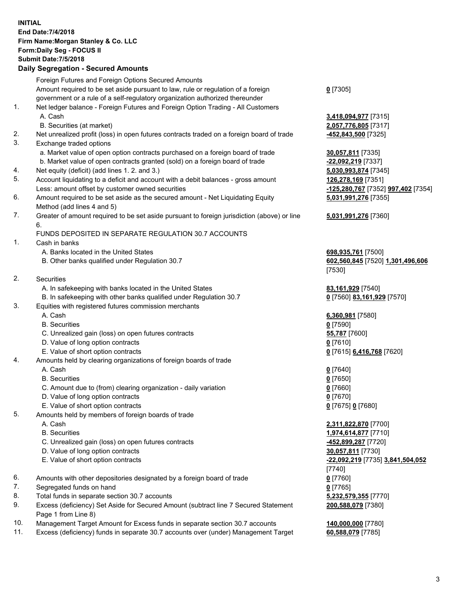## **INITIAL End Date:7/4/2018 Firm Name:Morgan Stanley & Co. LLC Form:Daily Seg - FOCUS II Submit Date:7/5/2018 Daily Segregation - Secured Amounts** Foreign Futures and Foreign Options Secured Amounts Amount required to be set aside pursuant to law, rule or regulation of a foreign government or a rule of a self-regulatory organization authorized thereunder **0** [7305] 1. Net ledger balance - Foreign Futures and Foreign Option Trading - All Customers A. Cash **3,418,094,977** [7315] B. Securities (at market) **2,057,776,805** [7317] 2. Net unrealized profit (loss) in open futures contracts traded on a foreign board of trade **-452,843,500** [7325] 3. Exchange traded options a. Market value of open option contracts purchased on a foreign board of trade **30,057,811** [7335] b. Market value of open contracts granted (sold) on a foreign board of trade **-22,092,219** [7337] 4. Net equity (deficit) (add lines 1. 2. and 3.) **5,030,993,874** [7345] 5. Account liquidating to a deficit and account with a debit balances - gross amount **126,278,169** [7351] Less: amount offset by customer owned securities **-125,280,767** [7352] **997,402** [7354] 6. Amount required to be set aside as the secured amount - Net Liquidating Equity Method (add lines 4 and 5) **5,031,991,276** [7355] 7. Greater of amount required to be set aside pursuant to foreign jurisdiction (above) or line 6. **5,031,991,276** [7360] FUNDS DEPOSITED IN SEPARATE REGULATION 30.7 ACCOUNTS 1. Cash in banks A. Banks located in the United States **698,935,761** [7500] B. Other banks qualified under Regulation 30.7 **602,560,845** [7520] **1,301,496,606** [7530] 2. Securities A. In safekeeping with banks located in the United States **83,161,929** [7540] B. In safekeeping with other banks qualified under Regulation 30.7 **0** [7560] **83,161,929** [7570] 3. Equities with registered futures commission merchants A. Cash **6,360,981** [7580] B. Securities **0** [7590] C. Unrealized gain (loss) on open futures contracts **55,787** [7600] D. Value of long option contracts **0** [7610] E. Value of short option contracts **0** [7615] **6,416,768** [7620] 4. Amounts held by clearing organizations of foreign boards of trade A. Cash **0** [7640] B. Securities **0** [7650] C. Amount due to (from) clearing organization - daily variation **0** [7660] D. Value of long option contracts **0** [7670] E. Value of short option contracts **0** [7675] **0** [7680] 5. Amounts held by members of foreign boards of trade A. Cash **2,311,822,870** [7700] B. Securities **1,974,614,877** [7710] C. Unrealized gain (loss) on open futures contracts **-452,899,287** [7720] D. Value of long option contracts **30,057,811** [7730] E. Value of short option contracts **-22,092,219** [7735] **3,841,504,052** [7740] 6. Amounts with other depositories designated by a foreign board of trade **0** [7760] 7. Segregated funds on hand **0** [7765] 8. Total funds in separate section 30.7 accounts **5,232,579,355** [7770] 9. Excess (deficiency) Set Aside for Secured Amount (subtract line 7 Secured Statement Page 1 from Line 8) **200,588,079** [7380] 10. Management Target Amount for Excess funds in separate section 30.7 accounts **140,000,000** [7780]

11. Excess (deficiency) funds in separate 30.7 accounts over (under) Management Target **60,588,079** [7785]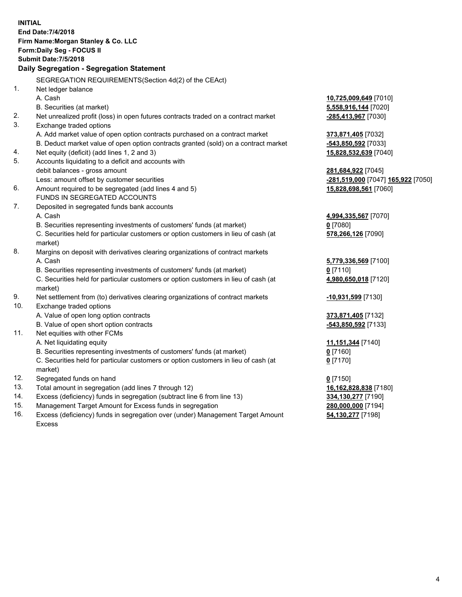|          | <b>INITIAL</b><br>End Date: 7/4/2018<br>Firm Name: Morgan Stanley & Co. LLC<br>Form: Daily Seg - FOCUS II<br><b>Submit Date: 7/5/2018</b> |                                                          |
|----------|-------------------------------------------------------------------------------------------------------------------------------------------|----------------------------------------------------------|
|          | Daily Segregation - Segregation Statement                                                                                                 |                                                          |
|          | SEGREGATION REQUIREMENTS(Section 4d(2) of the CEAct)                                                                                      |                                                          |
| 1.       | Net ledger balance                                                                                                                        |                                                          |
|          | A. Cash                                                                                                                                   | 10,725,009,649 [7010]                                    |
|          | B. Securities (at market)                                                                                                                 | 5,558,916,144 [7020]                                     |
| 2.       | Net unrealized profit (loss) in open futures contracts traded on a contract market                                                        | -285,413,967 [7030]                                      |
| 3.       | Exchange traded options                                                                                                                   |                                                          |
|          | A. Add market value of open option contracts purchased on a contract market                                                               | 373,871,405 [7032]                                       |
|          | B. Deduct market value of open option contracts granted (sold) on a contract market                                                       | -543,850,592 [7033]                                      |
| 4.<br>5. | Net equity (deficit) (add lines 1, 2 and 3)                                                                                               | 15,828,532,639 [7040]                                    |
|          | Accounts liquidating to a deficit and accounts with<br>debit balances - gross amount                                                      |                                                          |
|          | Less: amount offset by customer securities                                                                                                | 281,684,922 [7045]<br>-281,519,000 [7047] 165,922 [7050] |
| 6.       | Amount required to be segregated (add lines 4 and 5)                                                                                      | 15,828,698,561 [7060]                                    |
|          | FUNDS IN SEGREGATED ACCOUNTS                                                                                                              |                                                          |
| 7.       | Deposited in segregated funds bank accounts                                                                                               |                                                          |
|          | A. Cash                                                                                                                                   | 4,994,335,567 [7070]                                     |
|          | B. Securities representing investments of customers' funds (at market)                                                                    | $0$ [7080]                                               |
|          | C. Securities held for particular customers or option customers in lieu of cash (at                                                       | 578,266,126 [7090]                                       |
|          | market)                                                                                                                                   |                                                          |
| 8.       | Margins on deposit with derivatives clearing organizations of contract markets                                                            |                                                          |
|          | A. Cash                                                                                                                                   | 5,779,336,569 [7100]                                     |
|          | B. Securities representing investments of customers' funds (at market)                                                                    | <u>0</u> [7110]                                          |
|          | C. Securities held for particular customers or option customers in lieu of cash (at                                                       | 4,980,650,018 [7120]                                     |
|          | market)                                                                                                                                   |                                                          |
| 9.       | Net settlement from (to) derivatives clearing organizations of contract markets                                                           | -10,931,599 [7130]                                       |
| 10.      | Exchange traded options                                                                                                                   |                                                          |
|          | A. Value of open long option contracts                                                                                                    | 373,871,405 [7132]                                       |
|          | B. Value of open short option contracts                                                                                                   | $-543,850,592$ [7133]                                    |
| 11.      | Net equities with other FCMs                                                                                                              |                                                          |
|          | A. Net liquidating equity                                                                                                                 | 11,151,344 [7140]                                        |
|          | B. Securities representing investments of customers' funds (at market)                                                                    | 0 [7160]                                                 |
|          | C. Securities held for particular customers or option customers in lieu of cash (at                                                       | $0$ [7170]                                               |
|          | market)                                                                                                                                   |                                                          |
| 12.      | Segregated funds on hand                                                                                                                  | $0$ [7150]                                               |
| 13.      | Total amount in segregation (add lines 7 through 12)                                                                                      | 16,162,828,838 [7180]                                    |
| 14.      | Excess (deficiency) funds in segregation (subtract line 6 from line 13)                                                                   | 334,130,277 [7190]                                       |
| 15.      | Management Target Amount for Excess funds in segregation                                                                                  | 280,000,000 [7194]                                       |

16. Excess (deficiency) funds in segregation over (under) Management Target Amount Excess

**54,130,277** [7198]